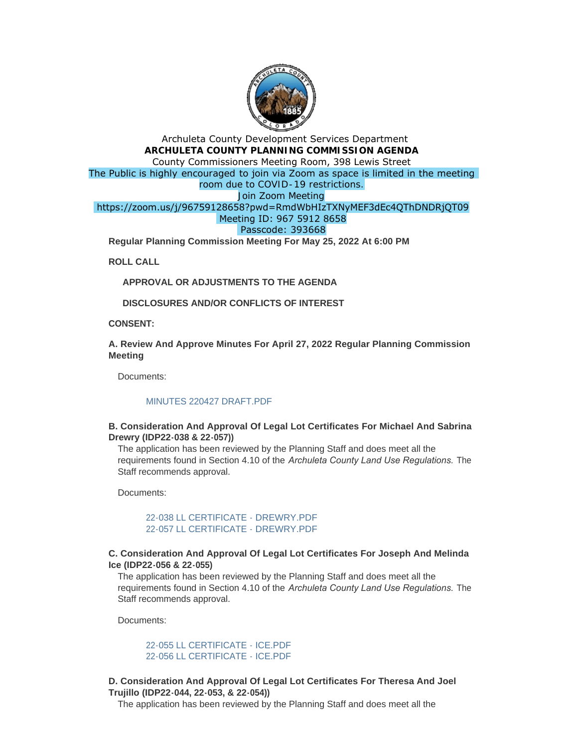

# Archuleta County Development Services Department **ARCHULETA COUNTY PLANNING COMMISSION AGENDA** County Commissioners Meeting Room, 398 Lewis Street The Public is highly encouraged to join via Zoom as space is limited in the meeting room due to COVID-19 restrictions. Join Zoom Meeting https://zoom.us/j/96759128658?pwd=RmdWbHIzTXNyMEF3dEc4QThDNDRjQT09 Meeting ID: 967 5912 8658 Passcode: 393668 **Regular Planning Commission Meeting For May 25, 2022 At 6:00 PM**

**ROLL CALL**

**APPROVAL OR ADJUSTMENTS TO THE AGENDA**

**DISCLOSURES AND/OR CONFLICTS OF INTEREST**

**CONSENT:**

**A. Review And Approve Minutes For April 27, 2022 Regular Planning Commission Meeting**

Documents:

#### [MINUTES 220427 DRAFT.PDF](http://www.archuletacounty.org/AgendaCenter/ViewFile/Item/10605?fileID=8274)

## **B. Consideration And Approval Of Legal Lot Certificates For Michael And Sabrina Drewry (IDP22-038 & 22-057))**

The application has been reviewed by the Planning Staff and does meet all the requirements found in Section 4.10 of the *Archuleta County Land Use Regulations.* The Staff recommends approval.

Documents:

[22-038 LL CERTIFICATE - DREWRY.PDF](http://www.archuletacounty.org/AgendaCenter/ViewFile/Item/10606?fileID=8275) [22-057 LL CERTIFICATE - DREWRY.PDF](http://www.archuletacounty.org/AgendaCenter/ViewFile/Item/10606?fileID=8276)

## **C. Consideration And Approval Of Legal Lot Certificates For Joseph And Melinda Ice (IDP22-056 & 22-055)**

The application has been reviewed by the Planning Staff and does meet all the requirements found in Section 4.10 of the *Archuleta County Land Use Regulations.* The Staff recommends approval.

Documents:

[22-055 LL CERTIFICATE - ICE.PDF](http://www.archuletacounty.org/AgendaCenter/ViewFile/Item/10607?fileID=8277) [22-056 LL CERTIFICATE - ICE.PDF](http://www.archuletacounty.org/AgendaCenter/ViewFile/Item/10607?fileID=8278)

## **D. Consideration And Approval Of Legal Lot Certificates For Theresa And Joel Trujillo (IDP22-044, 22-053, & 22-054))**

The application has been reviewed by the Planning Staff and does meet all the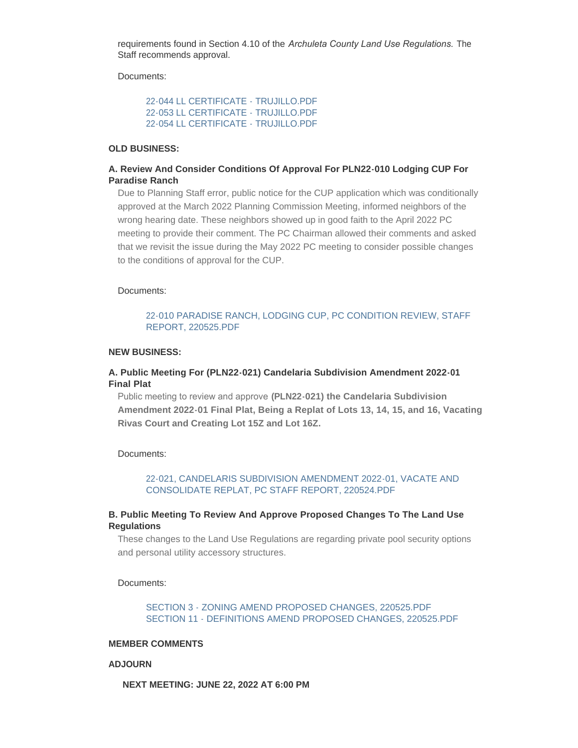requirements found in Section 4.10 of the *Archuleta County Land Use Regulations.* The Staff recommends approval.

Documents:

[22-044 LL CERTIFICATE - TRUJILLO.PDF](http://www.archuletacounty.org/AgendaCenter/ViewFile/Item/10608?fileID=8284) [22-053 LL CERTIFICATE - TRUJILLO.PDF](http://www.archuletacounty.org/AgendaCenter/ViewFile/Item/10608?fileID=8285) [22-054 LL CERTIFICATE - TRUJILLO.PDF](http://www.archuletacounty.org/AgendaCenter/ViewFile/Item/10608?fileID=8286)

# **OLD BUSINESS:**

### **A. Review And Consider Conditions Of Approval For PLN22-010 Lodging CUP For Paradise Ranch**

Due to Planning Staff error, public notice for the CUP application which was conditionally approved at the March 2022 Planning Commission Meeting, informed neighbors of the wrong hearing date. These neighbors showed up in good faith to the April 2022 PC meeting to provide their comment. The PC Chairman allowed their comments and asked that we revisit the issue during the May 2022 PC meeting to consider possible changes to the conditions of approval for the CUP.

#### Documents:

### [22-010 PARADISE RANCH, LODGING CUP, PC CONDITION REVIEW, STAFF](http://www.archuletacounty.org/AgendaCenter/ViewFile/Item/10612?fileID=8287)  REPORT, 220525.PDF

#### **NEW BUSINESS:**

## **A. Public Meeting For (PLN22-021) Candelaria Subdivision Amendment 2022-01 Final Plat**

Public meeting to review and approve **(PLN22-021) the Candelaria Subdivision Amendment 2022-01 Final Plat, Being a Replat of Lots 13, 14, 15, and 16, Vacating Rivas Court and Creating Lot 15Z and Lot 16Z.**

Documents:

#### [22-021, CANDELARIS SUBDIVISION AMENDMENT 2022-01, VACATE AND](http://www.archuletacounty.org/AgendaCenter/ViewFile/Item/10609?fileID=8281)  CONSOLIDATE REPLAT, PC STAFF REPORT, 220524.PDF

#### **B. Public Meeting To Review And Approve Proposed Changes To The Land Use Regulations**

These changes to the Land Use Regulations are regarding private pool security options and personal utility accessory structures.

Documents:

## [SECTION 3 - ZONING AMEND PROPOSED CHANGES, 220525.PDF](http://www.archuletacounty.org/AgendaCenter/ViewFile/Item/10610?fileID=8282) [SECTION 11 - DEFINITIONS AMEND PROPOSED CHANGES, 220525.PDF](http://www.archuletacounty.org/AgendaCenter/ViewFile/Item/10610?fileID=8283)

#### **MEMBER COMMENTS**

#### **ADJOURN**

**NEXT MEETING: JUNE 22, 2022 AT 6:00 PM**